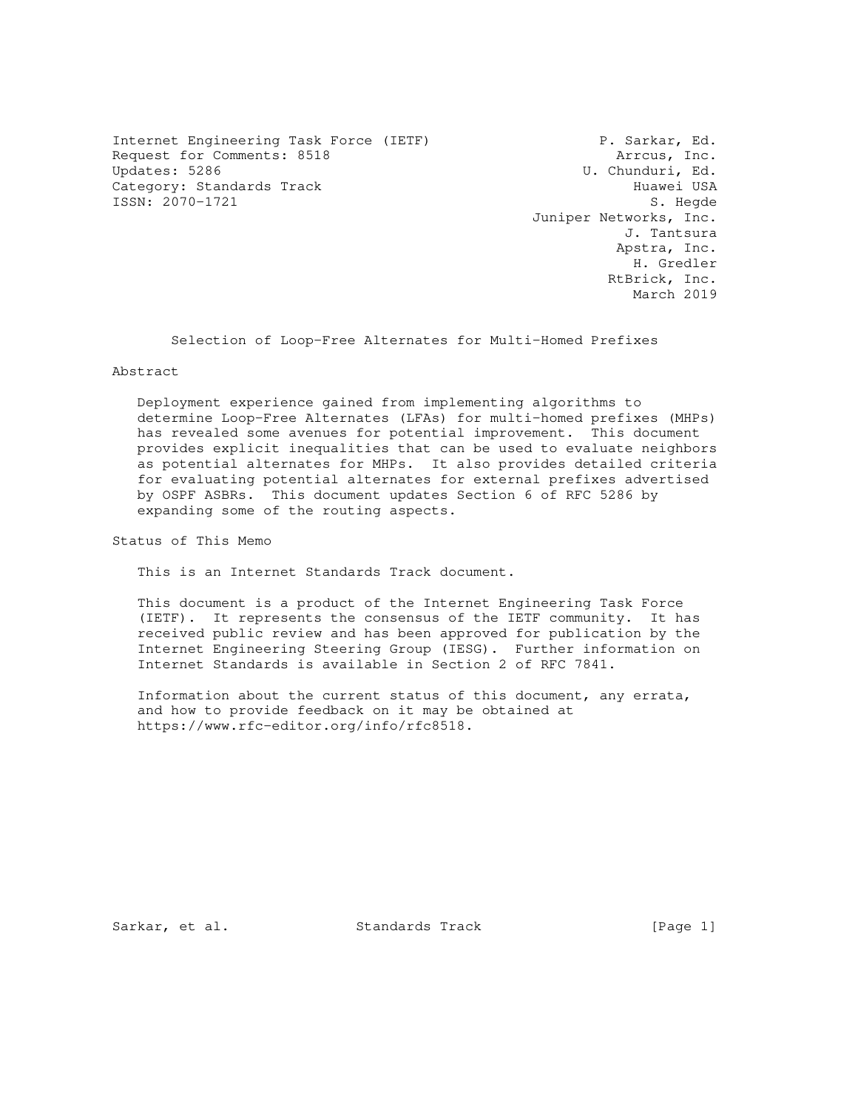Internet Engineering Task Force (IETF) P. Sarkar, Ed. Request for Comments: 8518 **Arrous, Inc.**<br>Updates: 5286 **Arrous, Inc.**<br>U. Chunduri, Ed. Category: Standards Track Huawei USA ISSN: 2070-1721 S. Hegde

U. Chunduri, Ed. Juniper Networks, Inc. J. Tantsura Apstra, Inc. H. Gredler RtBrick, Inc. March 2019

Selection of Loop-Free Alternates for Multi-Homed Prefixes

Abstract

 Deployment experience gained from implementing algorithms to determine Loop-Free Alternates (LFAs) for multi-homed prefixes (MHPs) has revealed some avenues for potential improvement. This document provides explicit inequalities that can be used to evaluate neighbors as potential alternates for MHPs. It also provides detailed criteria for evaluating potential alternates for external prefixes advertised by OSPF ASBRs. This document updates Section 6 of RFC 5286 by expanding some of the routing aspects.

Status of This Memo

This is an Internet Standards Track document.

 This document is a product of the Internet Engineering Task Force (IETF). It represents the consensus of the IETF community. It has received public review and has been approved for publication by the Internet Engineering Steering Group (IESG). Further information on Internet Standards is available in Section 2 of RFC 7841.

 Information about the current status of this document, any errata, and how to provide feedback on it may be obtained at https://www.rfc-editor.org/info/rfc8518.

Sarkar, et al. Standards Track [Page 1]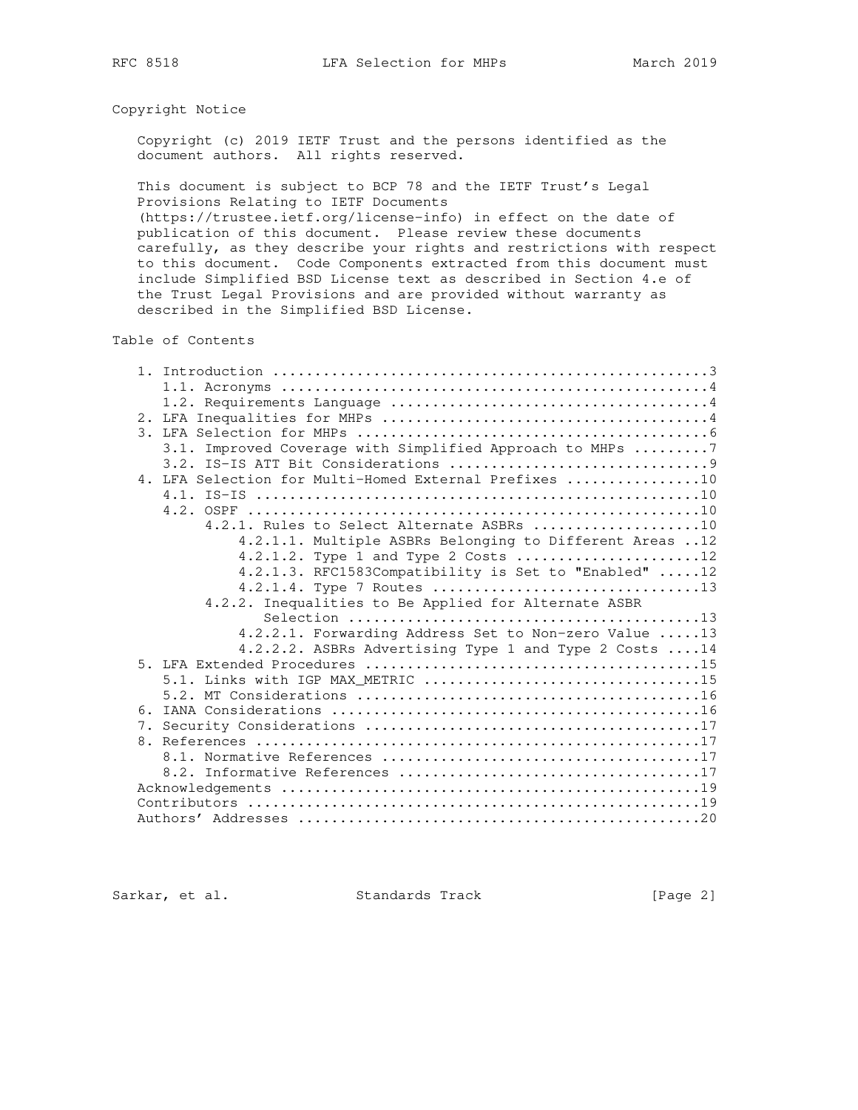# Copyright Notice

 Copyright (c) 2019 IETF Trust and the persons identified as the document authors. All rights reserved.

 This document is subject to BCP 78 and the IETF Trust's Legal Provisions Relating to IETF Documents

 (https://trustee.ietf.org/license-info) in effect on the date of publication of this document. Please review these documents carefully, as they describe your rights and restrictions with respect to this document. Code Components extracted from this document must include Simplified BSD License text as described in Section 4.e of the Trust Legal Provisions and are provided without warranty as described in the Simplified BSD License.

Table of Contents

|  | 3.1. Improved Coverage with Simplified Approach to MHPs 7 |
|--|-----------------------------------------------------------|
|  |                                                           |
|  | 4. LFA Selection for Multi-Homed External Prefixes 10     |
|  |                                                           |
|  |                                                           |
|  | 4.2.1. Rules to Select Alternate ASBRs 10                 |
|  | 4.2.1.1. Multiple ASBRs Belonging to Different Areas 12   |
|  | 4.2.1.2. Type 1 and Type 2 Costs 12                       |
|  | 4.2.1.3. RFC1583Compatibility is Set to "Enabled" 12      |
|  |                                                           |
|  | 4.2.2. Inequalities to Be Applied for Alternate ASBR      |
|  |                                                           |
|  | 4.2.2.1. Forwarding Address Set to Non-zero Value 13      |
|  | 4.2.2.2. ASBRs Advertising Type 1 and Type 2 Costs  14    |
|  |                                                           |
|  | 5.1. Links with IGP MAX_METRIC 15                         |
|  |                                                           |
|  |                                                           |
|  |                                                           |
|  |                                                           |
|  |                                                           |
|  |                                                           |
|  |                                                           |
|  |                                                           |
|  |                                                           |

Sarkar, et al. Standards Track [Page 2]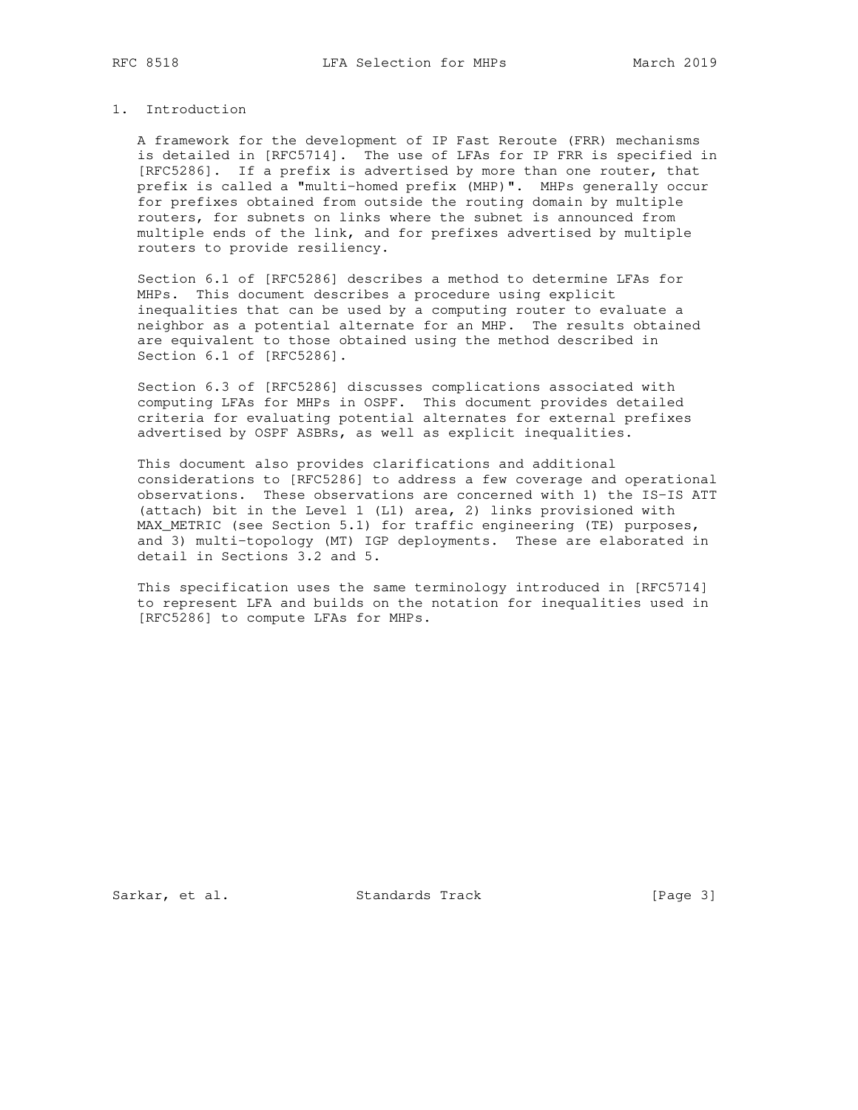### 1. Introduction

 A framework for the development of IP Fast Reroute (FRR) mechanisms is detailed in [RFC5714]. The use of LFAs for IP FRR is specified in [RFC5286]. If a prefix is advertised by more than one router, that prefix is called a "multi-homed prefix (MHP)". MHPs generally occur for prefixes obtained from outside the routing domain by multiple routers, for subnets on links where the subnet is announced from multiple ends of the link, and for prefixes advertised by multiple routers to provide resiliency.

 Section 6.1 of [RFC5286] describes a method to determine LFAs for MHPs. This document describes a procedure using explicit inequalities that can be used by a computing router to evaluate a neighbor as a potential alternate for an MHP. The results obtained are equivalent to those obtained using the method described in Section 6.1 of [RFC5286].

 Section 6.3 of [RFC5286] discusses complications associated with computing LFAs for MHPs in OSPF. This document provides detailed criteria for evaluating potential alternates for external prefixes advertised by OSPF ASBRs, as well as explicit inequalities.

 This document also provides clarifications and additional considerations to [RFC5286] to address a few coverage and operational observations. These observations are concerned with 1) the IS-IS ATT (attach) bit in the Level 1 (L1) area, 2) links provisioned with MAX\_METRIC (see Section 5.1) for traffic engineering (TE) purposes, and 3) multi-topology (MT) IGP deployments. These are elaborated in detail in Sections 3.2 and 5.

 This specification uses the same terminology introduced in [RFC5714] to represent LFA and builds on the notation for inequalities used in [RFC5286] to compute LFAs for MHPs.

Sarkar, et al. Standards Track [Page 3]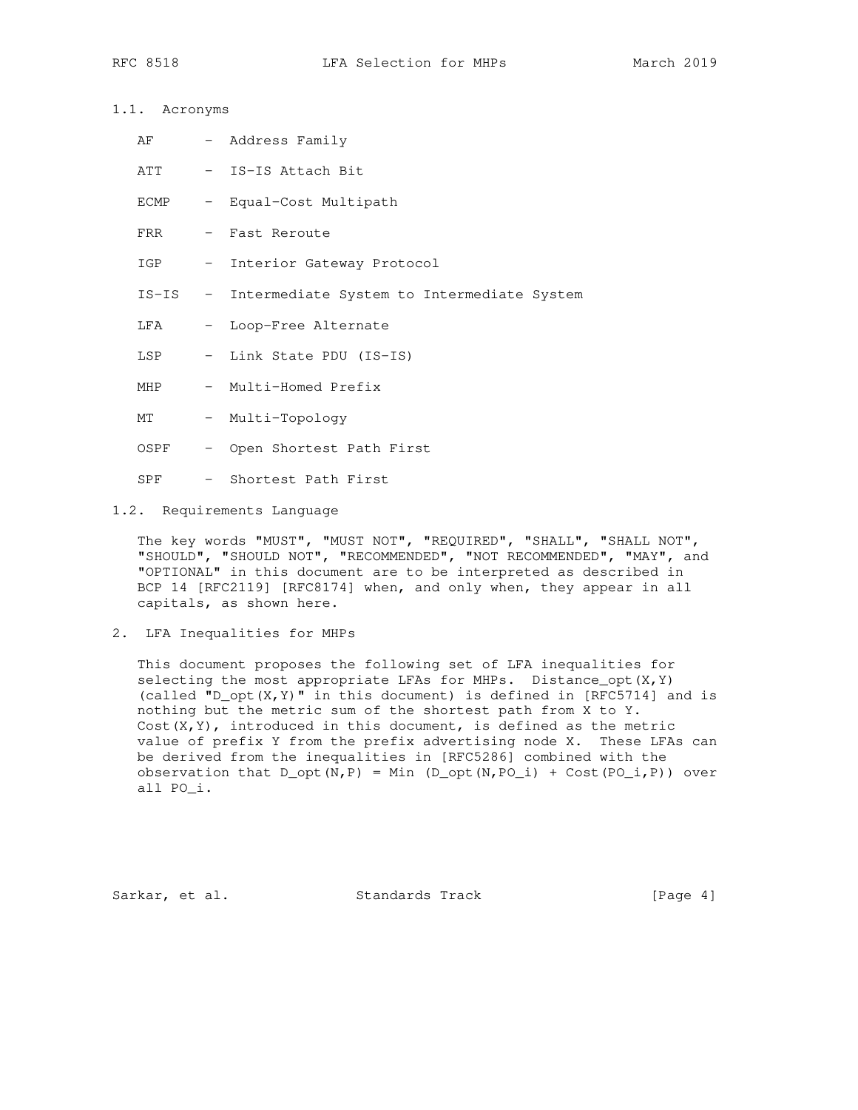## 1.1. Acronyms

- AF Address Family
- ATT IS-IS Attach Bit
- ECMP Equal-Cost Multipath
- FRR Fast Reroute
- IGP Interior Gateway Protocol
- IS-IS Intermediate System to Intermediate System
- LFA Loop-Free Alternate
- LSP Link State PDU (IS-IS)
- MHP Multi-Homed Prefix
- MT Multi-Topology
- OSPF Open Shortest Path First
- SPF Shortest Path First
- 1.2. Requirements Language

 The key words "MUST", "MUST NOT", "REQUIRED", "SHALL", "SHALL NOT", "SHOULD", "SHOULD NOT", "RECOMMENDED", "NOT RECOMMENDED", "MAY", and "OPTIONAL" in this document are to be interpreted as described in BCP 14 [RFC2119] [RFC8174] when, and only when, they appear in all capitals, as shown here.

2. LFA Inequalities for MHPs

 This document proposes the following set of LFA inequalities for selecting the most appropriate LFAs for MHPs. Distance\_opt $(X, Y)$  (called "D\_opt(X,Y)" in this document) is defined in [RFC5714] and is nothing but the metric sum of the shortest path from X to Y. Cost(X,Y), introduced in this document, is defined as the metric value of prefix Y from the prefix advertising node X. These LFAs can be derived from the inequalities in [RFC5286] combined with the observation that  $D_{\text{opt}}(N, P) = Min (D_{\text{opt}}(N, PO_i) + Cost (PO_i, P))$  over all PO\_i.

Sarkar, et al. Standards Track [Page 4]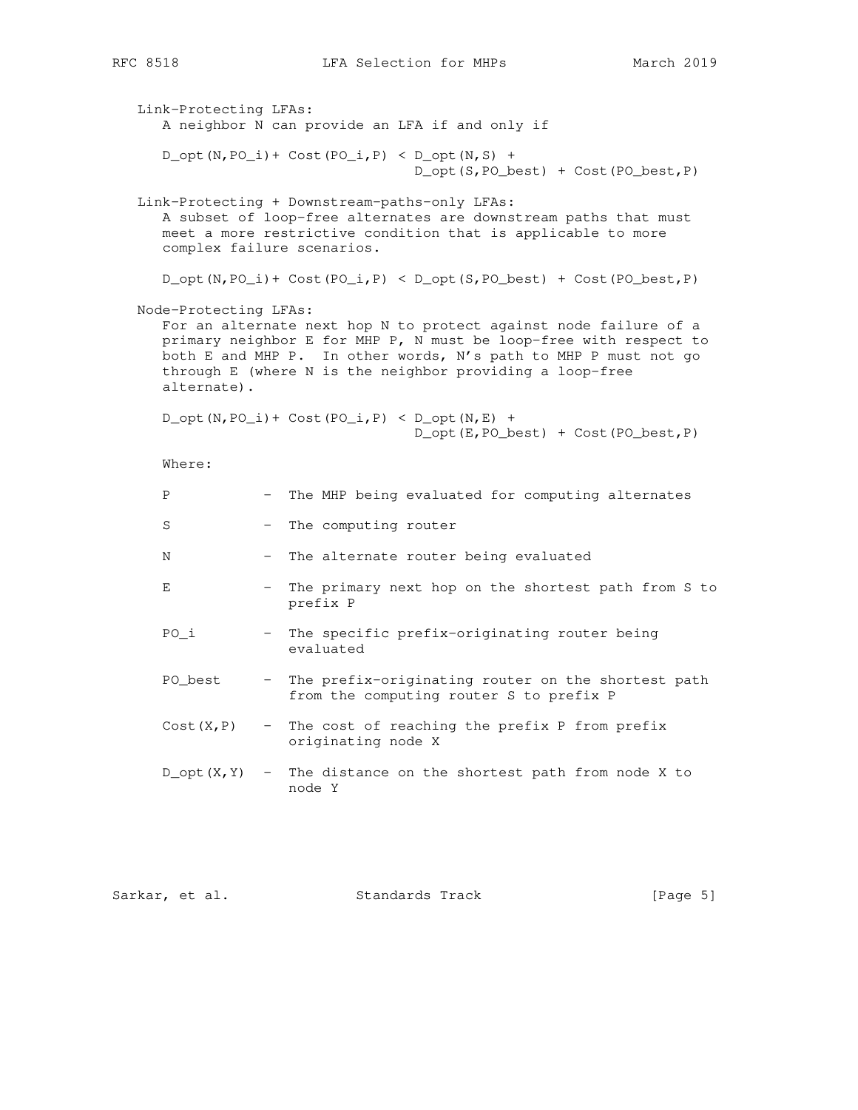```
 Link-Protecting LFAs:
    A neighbor N can provide an LFA if and only if
   D_{opt}(N,PO_i) + Cost(PO<sub>i</sub>,P) < D<sub>opt</sub>(N,S) +
                                  D_opt(S,PO_best) + Cost(PO_best,P)
 Link-Protecting + Downstream-paths-only LFAs:
   A subset of loop-free alternates are downstream paths that must
   meet a more restrictive condition that is applicable to more
    complex failure scenarios.
   D_{\text{opt}}(N, PO_1) + Cost(PO<sub>_i</sub>,P) < D_opt(S,PO_best) + Cost(PO_best,P)
 Node-Protecting LFAs:
   For an alternate next hop N to protect against node failure of a
    primary neighbor E for MHP P, N must be loop-free with respect to
   both E and MHP P. In other words, N's path to MHP P must not go
    through E (where N is the neighbor providing a loop-free
   alternate).
   D_{opt}(N, PO_i) + Cost(PO<sub>i</sub>,P) < D_opt(N,E) +
                                   D_opt(E,PO_best) + Cost(PO_best,P)
   Where:
   P - The MHP being evaluated for computing alternates
   S - The computing router
   N - The alternate router being evaluated
   E - The primary next hop on the shortest path from S to
                  prefix P
    PO_i - The specific prefix-originating router being
                  evaluated
    PO_best - The prefix-originating router on the shortest path
                   from the computing router S to prefix P
   Cost(X, P) - The cost of reaching the prefix P from prefix
                   originating node X
   D_{\text{opt}}(X, Y) - The distance on the shortest path from node X to
                   node Y
```

|  | Sarkar, et al. |  |  | Standards Track |  | [Page 5] |  |
|--|----------------|--|--|-----------------|--|----------|--|
|--|----------------|--|--|-----------------|--|----------|--|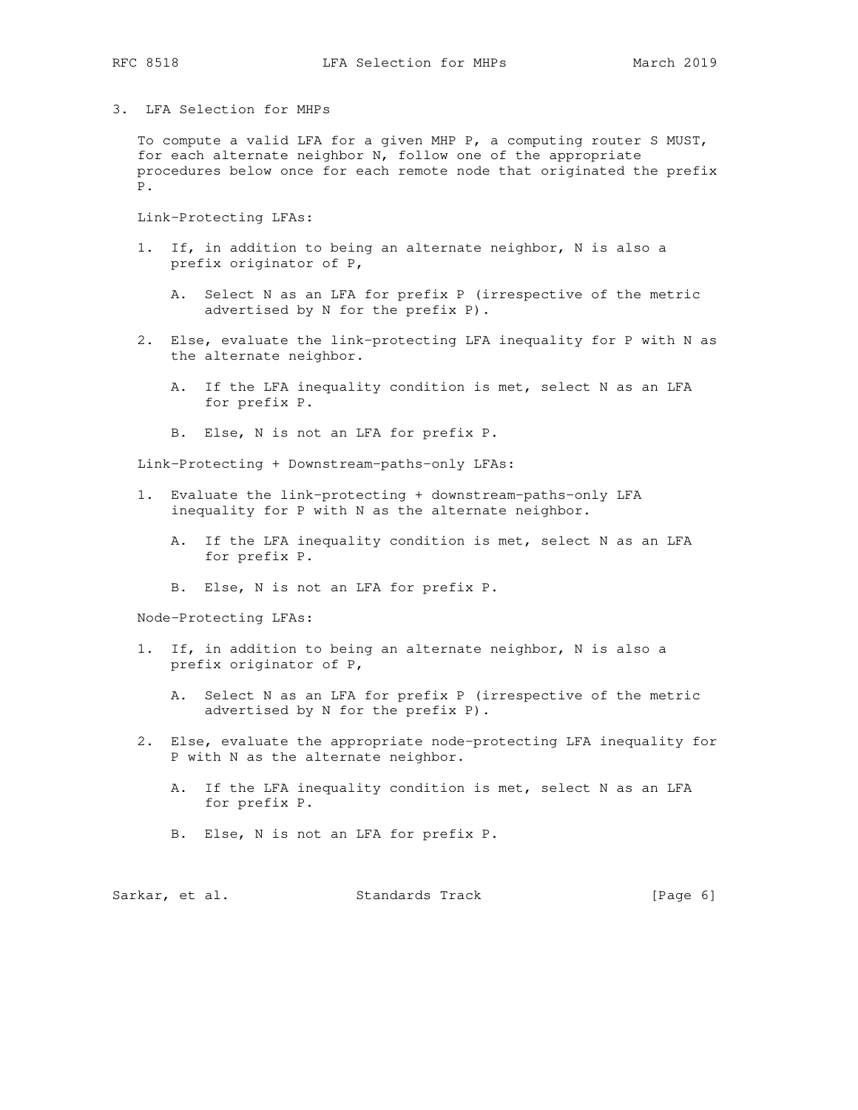3. LFA Selection for MHPs

 To compute a valid LFA for a given MHP P, a computing router S MUST, for each alternate neighbor N, follow one of the appropriate procedures below once for each remote node that originated the prefix P.

Link-Protecting LFAs:

- 1. If, in addition to being an alternate neighbor, N is also a prefix originator of P,
	- A. Select N as an LFA for prefix P (irrespective of the metric advertised by N for the prefix P).
- 2. Else, evaluate the link-protecting LFA inequality for P with N as the alternate neighbor.
	- A. If the LFA inequality condition is met, select N as an LFA for prefix P.
	- B. Else, N is not an LFA for prefix P.

Link-Protecting + Downstream-paths-only LFAs:

- 1. Evaluate the link-protecting + downstream-paths-only LFA inequality for P with N as the alternate neighbor.
	- A. If the LFA inequality condition is met, select N as an LFA for prefix P.
	- B. Else, N is not an LFA for prefix P.

Node-Protecting LFAs:

- 1. If, in addition to being an alternate neighbor, N is also a prefix originator of P,
	- A. Select N as an LFA for prefix P (irrespective of the metric advertised by N for the prefix P).
- 2. Else, evaluate the appropriate node-protecting LFA inequality for P with N as the alternate neighbor.
	- A. If the LFA inequality condition is met, select N as an LFA for prefix P.
	- B. Else, N is not an LFA for prefix P.

| Sarkar, et al. |  | Standards Track |  | [Page 6] |  |
|----------------|--|-----------------|--|----------|--|
|----------------|--|-----------------|--|----------|--|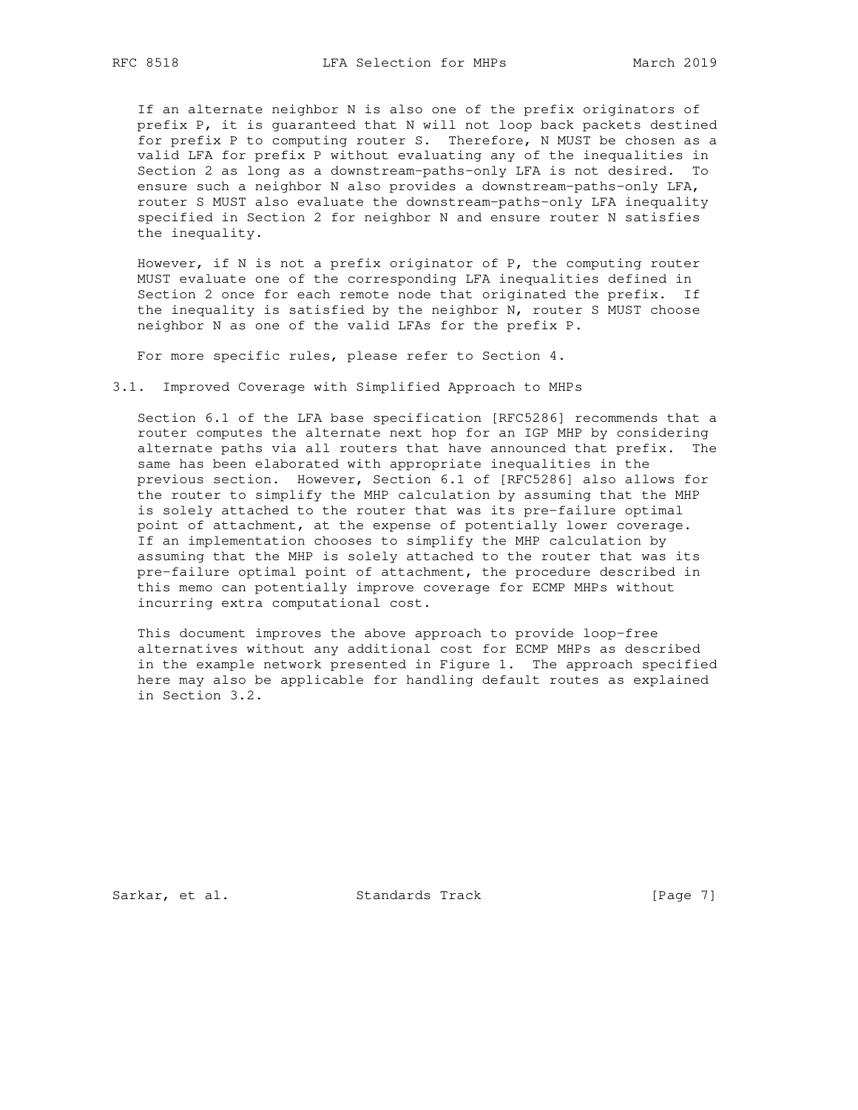If an alternate neighbor N is also one of the prefix originators of prefix P, it is guaranteed that N will not loop back packets destined for prefix P to computing router S. Therefore, N MUST be chosen as a valid LFA for prefix P without evaluating any of the inequalities in Section 2 as long as a downstream-paths-only LFA is not desired. To ensure such a neighbor N also provides a downstream-paths-only LFA, router S MUST also evaluate the downstream-paths-only LFA inequality specified in Section 2 for neighbor N and ensure router N satisfies the inequality.

 However, if N is not a prefix originator of P, the computing router MUST evaluate one of the corresponding LFA inequalities defined in Section 2 once for each remote node that originated the prefix. If the inequality is satisfied by the neighbor N, router S MUST choose neighbor N as one of the valid LFAs for the prefix P.

For more specific rules, please refer to Section 4.

3.1. Improved Coverage with Simplified Approach to MHPs

 Section 6.1 of the LFA base specification [RFC5286] recommends that a router computes the alternate next hop for an IGP MHP by considering alternate paths via all routers that have announced that prefix. The same has been elaborated with appropriate inequalities in the previous section. However, Section 6.1 of [RFC5286] also allows for the router to simplify the MHP calculation by assuming that the MHP is solely attached to the router that was its pre-failure optimal point of attachment, at the expense of potentially lower coverage. If an implementation chooses to simplify the MHP calculation by assuming that the MHP is solely attached to the router that was its pre-failure optimal point of attachment, the procedure described in this memo can potentially improve coverage for ECMP MHPs without incurring extra computational cost.

 This document improves the above approach to provide loop-free alternatives without any additional cost for ECMP MHPs as described in the example network presented in Figure 1. The approach specified here may also be applicable for handling default routes as explained in Section 3.2.

Sarkar, et al. Standards Track [Page 7]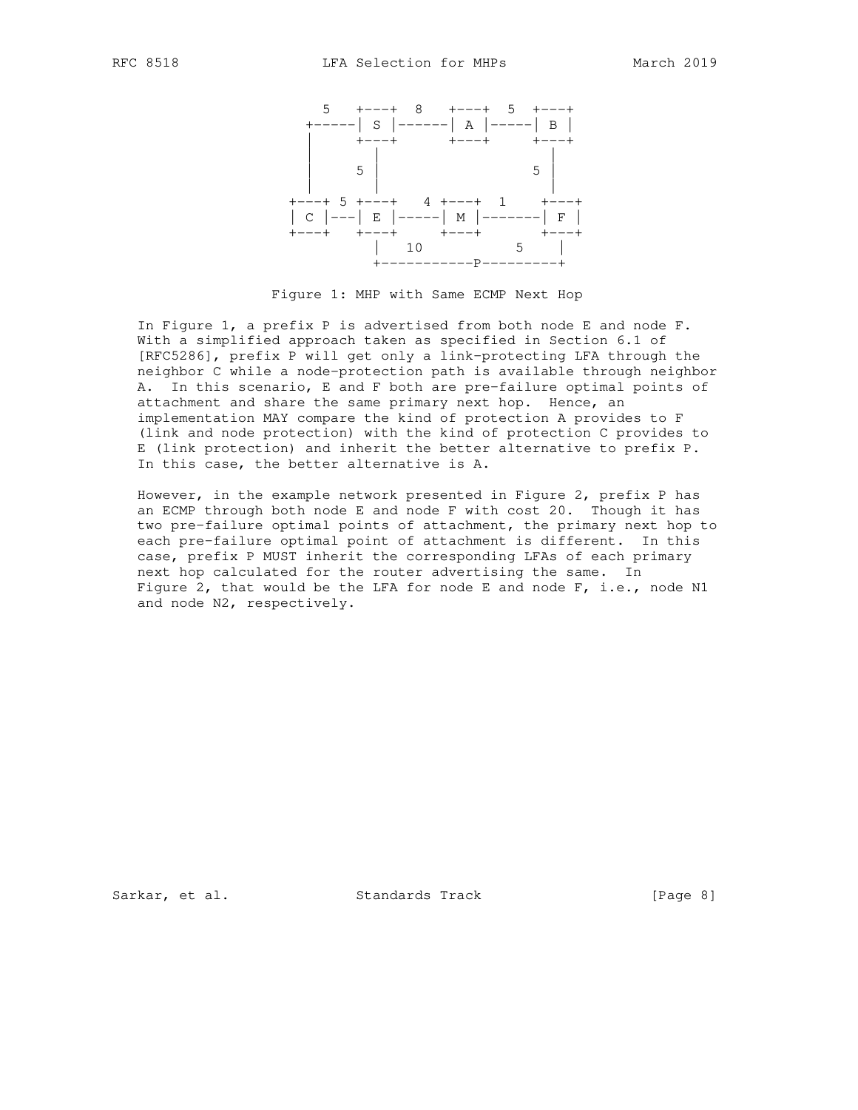

Figure 1: MHP with Same ECMP Next Hop

 In Figure 1, a prefix P is advertised from both node E and node F. With a simplified approach taken as specified in Section 6.1 of [RFC5286], prefix P will get only a link-protecting LFA through the neighbor C while a node-protection path is available through neighbor A. In this scenario, E and F both are pre-failure optimal points of attachment and share the same primary next hop. Hence, an implementation MAY compare the kind of protection A provides to F (link and node protection) with the kind of protection C provides to E (link protection) and inherit the better alternative to prefix P. In this case, the better alternative is A.

 However, in the example network presented in Figure 2, prefix P has an ECMP through both node E and node F with cost 20. Though it has two pre-failure optimal points of attachment, the primary next hop to each pre-failure optimal point of attachment is different. In this case, prefix P MUST inherit the corresponding LFAs of each primary next hop calculated for the router advertising the same. In Figure 2, that would be the LFA for node E and node F, i.e., node N1 and node N2, respectively.

Sarkar, et al. Standards Track [Page 8]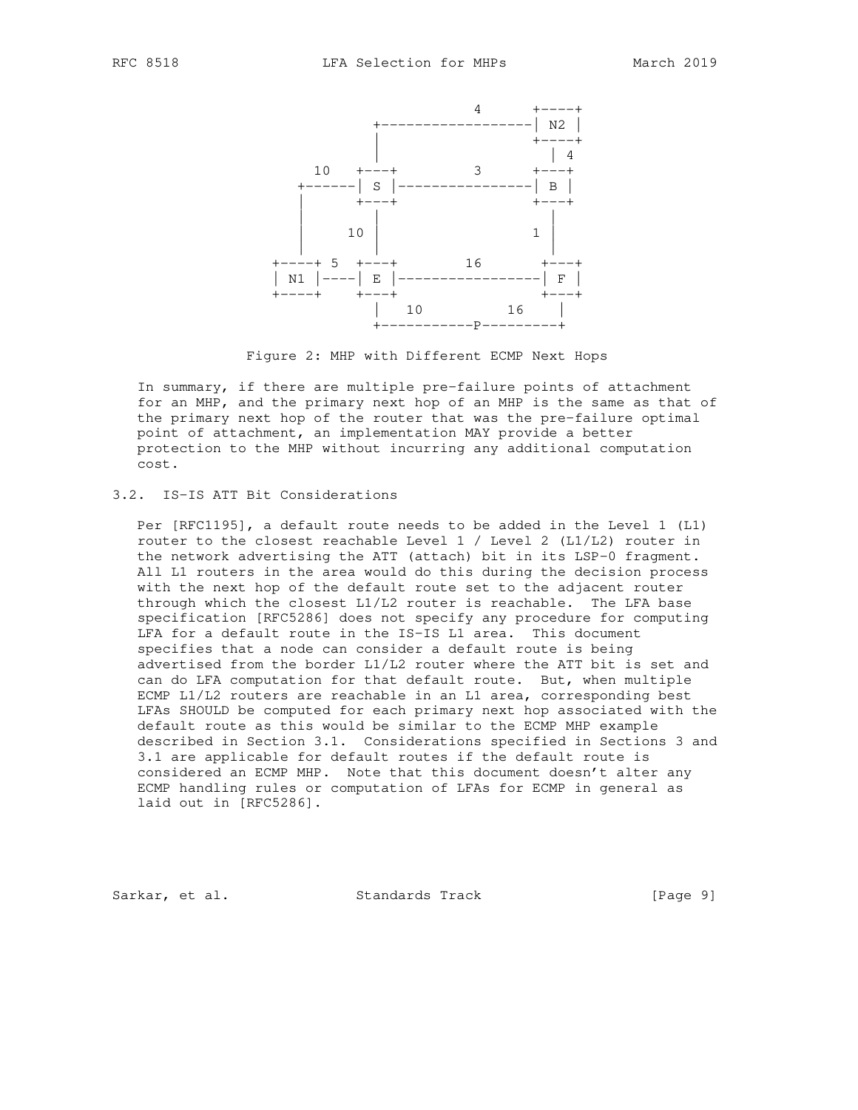

Figure 2: MHP with Different ECMP Next Hops

 In summary, if there are multiple pre-failure points of attachment for an MHP, and the primary next hop of an MHP is the same as that of the primary next hop of the router that was the pre-failure optimal point of attachment, an implementation MAY provide a better protection to the MHP without incurring any additional computation cost.

### 3.2. IS-IS ATT Bit Considerations

 Per [RFC1195], a default route needs to be added in the Level 1 (L1) router to the closest reachable Level 1 / Level 2 (L1/L2) router in the network advertising the ATT (attach) bit in its LSP-0 fragment. All L1 routers in the area would do this during the decision process with the next hop of the default route set to the adjacent router through which the closest L1/L2 router is reachable. The LFA base specification [RFC5286] does not specify any procedure for computing LFA for a default route in the IS-IS L1 area. This document specifies that a node can consider a default route is being advertised from the border L1/L2 router where the ATT bit is set and can do LFA computation for that default route. But, when multiple ECMP L1/L2 routers are reachable in an L1 area, corresponding best LFAs SHOULD be computed for each primary next hop associated with the default route as this would be similar to the ECMP MHP example described in Section 3.1. Considerations specified in Sections 3 and 3.1 are applicable for default routes if the default route is considered an ECMP MHP. Note that this document doesn't alter any ECMP handling rules or computation of LFAs for ECMP in general as laid out in [RFC5286].

Sarkar, et al. Standards Track [Page 9]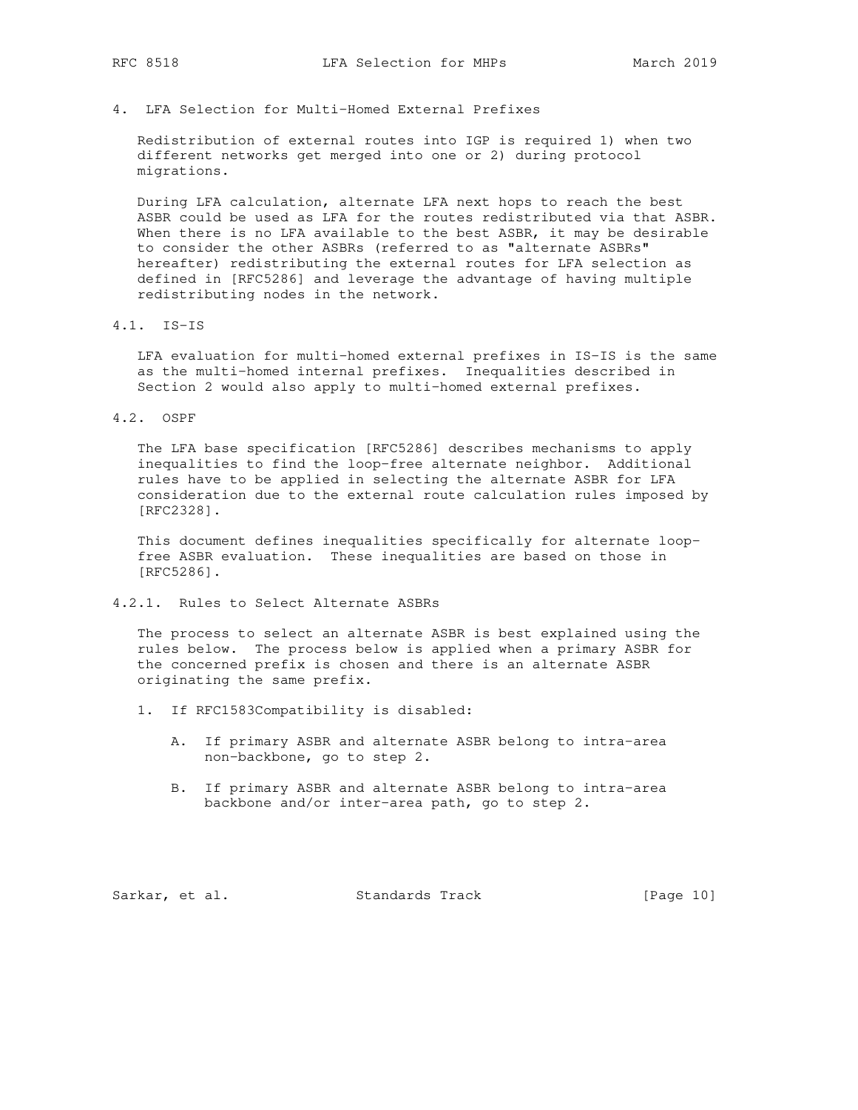4. LFA Selection for Multi-Homed External Prefixes

 Redistribution of external routes into IGP is required 1) when two different networks get merged into one or 2) during protocol migrations.

 During LFA calculation, alternate LFA next hops to reach the best ASBR could be used as LFA for the routes redistributed via that ASBR. When there is no LFA available to the best ASBR, it may be desirable to consider the other ASBRs (referred to as "alternate ASBRs" hereafter) redistributing the external routes for LFA selection as defined in [RFC5286] and leverage the advantage of having multiple redistributing nodes in the network.

4.1. IS-IS

 LFA evaluation for multi-homed external prefixes in IS-IS is the same as the multi-homed internal prefixes. Inequalities described in Section 2 would also apply to multi-homed external prefixes.

4.2. OSPF

 The LFA base specification [RFC5286] describes mechanisms to apply inequalities to find the loop-free alternate neighbor. Additional rules have to be applied in selecting the alternate ASBR for LFA consideration due to the external route calculation rules imposed by [RFC2328].

 This document defines inequalities specifically for alternate loop free ASBR evaluation. These inequalities are based on those in [RFC5286].

4.2.1. Rules to Select Alternate ASBRs

 The process to select an alternate ASBR is best explained using the rules below. The process below is applied when a primary ASBR for the concerned prefix is chosen and there is an alternate ASBR originating the same prefix.

- 1. If RFC1583Compatibility is disabled:
	- A. If primary ASBR and alternate ASBR belong to intra-area non-backbone, go to step 2.
	- B. If primary ASBR and alternate ASBR belong to intra-area backbone and/or inter-area path, go to step 2.

Sarkar, et al. Standards Track [Page 10]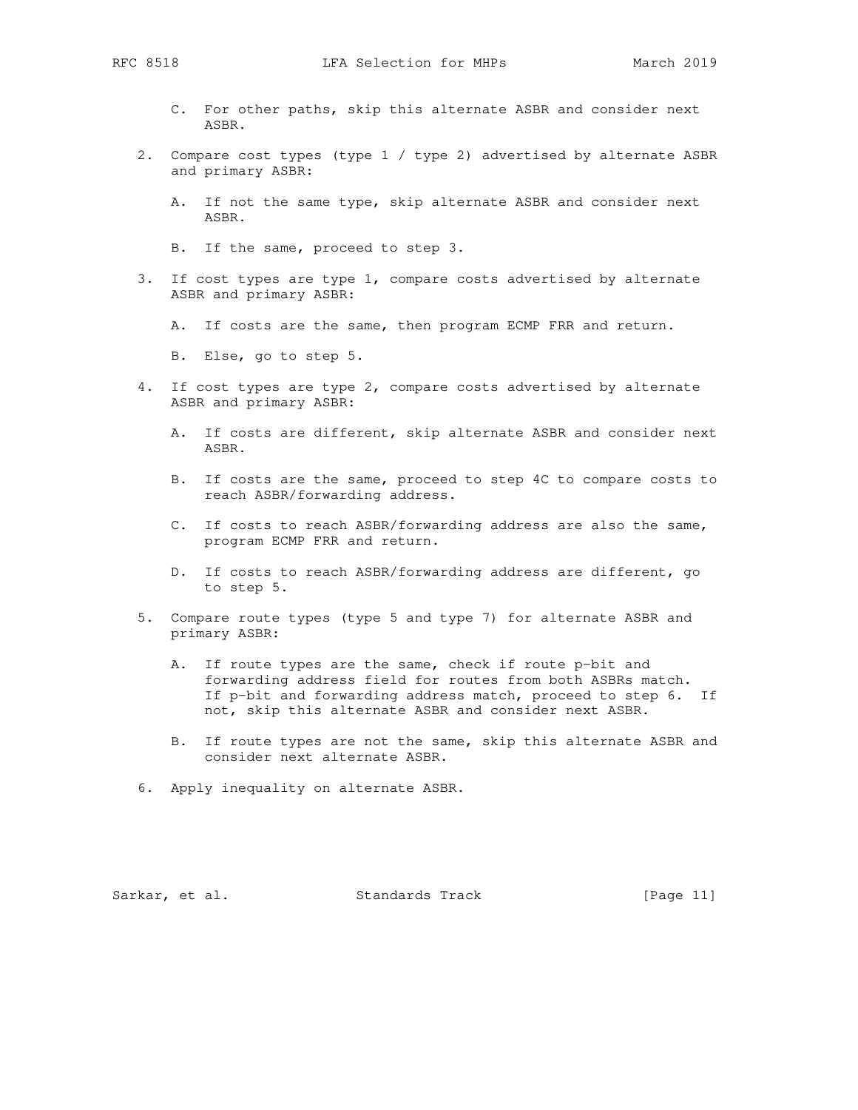- C. For other paths, skip this alternate ASBR and consider next ASBR.
- 2. Compare cost types (type 1 / type 2) advertised by alternate ASBR and primary ASBR:
	- A. If not the same type, skip alternate ASBR and consider next ASBR.
	- B. If the same, proceed to step 3.
- 3. If cost types are type 1, compare costs advertised by alternate ASBR and primary ASBR:
	- A. If costs are the same, then program ECMP FRR and return.
	- B. Else, go to step 5.
- 4. If cost types are type 2, compare costs advertised by alternate ASBR and primary ASBR:
	- A. If costs are different, skip alternate ASBR and consider next ASBR.
	- B. If costs are the same, proceed to step 4C to compare costs to reach ASBR/forwarding address.
	- C. If costs to reach ASBR/forwarding address are also the same, program ECMP FRR and return.
	- D. If costs to reach ASBR/forwarding address are different, go to step 5.
- 5. Compare route types (type 5 and type 7) for alternate ASBR and primary ASBR:
	- A. If route types are the same, check if route p-bit and forwarding address field for routes from both ASBRs match. If p-bit and forwarding address match, proceed to step 6. If not, skip this alternate ASBR and consider next ASBR.
	- B. If route types are not the same, skip this alternate ASBR and consider next alternate ASBR.
- 6. Apply inequality on alternate ASBR.

Sarkar, et al. Standards Track [Page 11]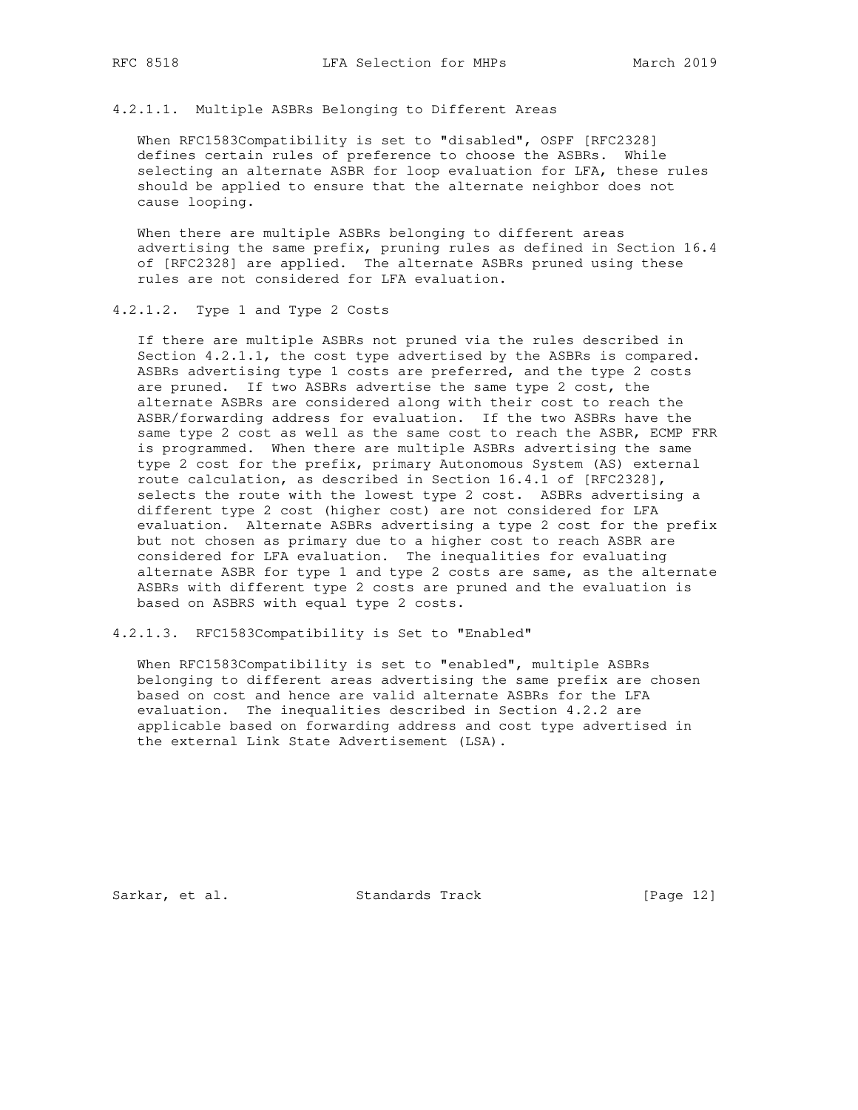## 4.2.1.1. Multiple ASBRs Belonging to Different Areas

When RFC1583Compatibility is set to "disabled", OSPF [RFC2328] defines certain rules of preference to choose the ASBRs. While selecting an alternate ASBR for loop evaluation for LFA, these rules should be applied to ensure that the alternate neighbor does not cause looping.

 When there are multiple ASBRs belonging to different areas advertising the same prefix, pruning rules as defined in Section 16.4 of [RFC2328] are applied. The alternate ASBRs pruned using these rules are not considered for LFA evaluation.

#### 4.2.1.2. Type 1 and Type 2 Costs

 If there are multiple ASBRs not pruned via the rules described in Section 4.2.1.1, the cost type advertised by the ASBRs is compared. ASBRs advertising type 1 costs are preferred, and the type 2 costs are pruned. If two ASBRs advertise the same type 2 cost, the alternate ASBRs are considered along with their cost to reach the ASBR/forwarding address for evaluation. If the two ASBRs have the same type 2 cost as well as the same cost to reach the ASBR, ECMP FRR is programmed. When there are multiple ASBRs advertising the same type 2 cost for the prefix, primary Autonomous System (AS) external route calculation, as described in Section 16.4.1 of [RFC2328], selects the route with the lowest type 2 cost. ASBRs advertising a different type 2 cost (higher cost) are not considered for LFA evaluation. Alternate ASBRs advertising a type 2 cost for the prefix but not chosen as primary due to a higher cost to reach ASBR are considered for LFA evaluation. The inequalities for evaluating alternate ASBR for type 1 and type 2 costs are same, as the alternate ASBRs with different type 2 costs are pruned and the evaluation is based on ASBRS with equal type 2 costs.

### 4.2.1.3. RFC1583Compatibility is Set to "Enabled"

 When RFC1583Compatibility is set to "enabled", multiple ASBRs belonging to different areas advertising the same prefix are chosen based on cost and hence are valid alternate ASBRs for the LFA evaluation. The inequalities described in Section 4.2.2 are applicable based on forwarding address and cost type advertised in the external Link State Advertisement (LSA).

Sarkar, et al. Standards Track [Page 12]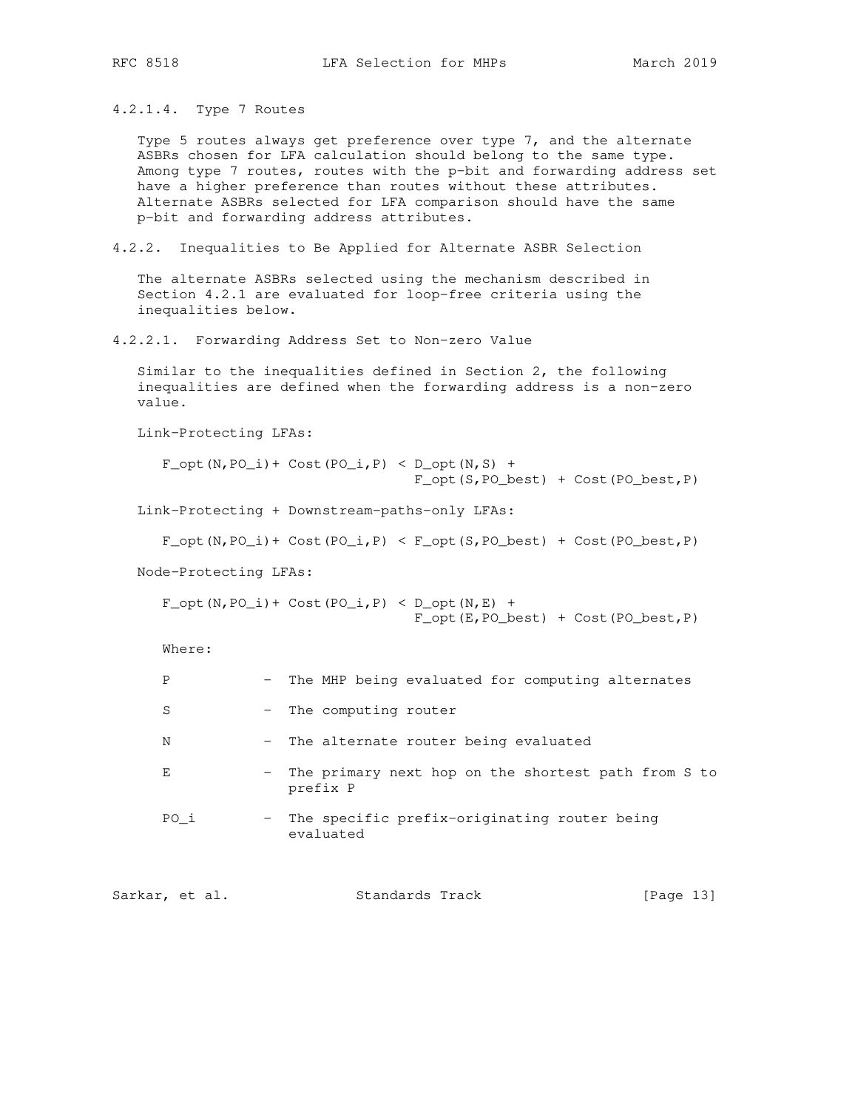4.2.1.4. Type 7 Routes

 Type 5 routes always get preference over type 7, and the alternate ASBRs chosen for LFA calculation should belong to the same type. Among type 7 routes, routes with the p-bit and forwarding address set have a higher preference than routes without these attributes. Alternate ASBRs selected for LFA comparison should have the same p-bit and forwarding address attributes.

4.2.2. Inequalities to Be Applied for Alternate ASBR Selection

 The alternate ASBRs selected using the mechanism described in Section 4.2.1 are evaluated for loop-free criteria using the inequalities below.

4.2.2.1. Forwarding Address Set to Non-zero Value

 Similar to the inequalities defined in Section 2, the following inequalities are defined when the forwarding address is a non-zero value.

Link-Protecting LFAs:

 $F_{opt}(N, PO_i)$  + Cost( $PO_i, P$ ) < D\_opt( $N, S$ ) + F\_opt(S,PO\_best) + Cost(PO\_best,P)

Link-Protecting + Downstream-paths-only LFAs:

 $F\_opt(N, PO_i) + Cost(PO_i, P) < F\_opt(S, PO_best) + Cost(PO_best, P)$ 

Node-Protecting LFAs:

 $F_{opt}(N, PO_i)$  + Cost(PO<sub>i</sub>,P) < D\_opt(N,E) + F\_opt(E,PO\_best) + Cost(PO\_best,P)

Where:

| Ρ    | - The MHP being evaluated for computing alternates              |
|------|-----------------------------------------------------------------|
| S    | - The computing router                                          |
| Ν    | - The alternate router being evaluated                          |
| Е    | The primary next hop on the shortest path from S to<br>prefix P |
| PO i | The specific prefix-originating router being<br>evaluated       |

Sarkar, et al. Standards Track [Page 13]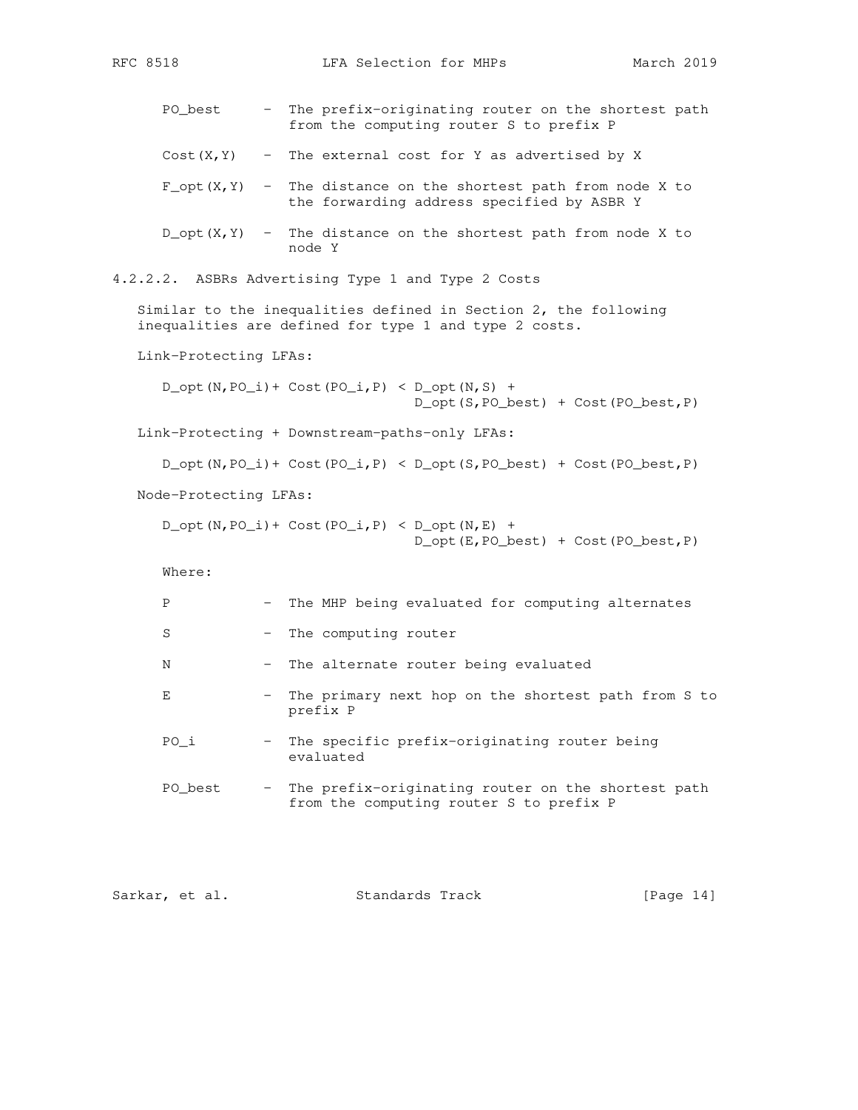```
PO_best - The prefix-originating router on the shortest path
                      from the computing router S to prefix P
      Cost(X, Y) - The external cost for Y as advertised by X
      F_{opt}(X,Y) - The distance on the shortest path from node X to
                      the forwarding address specified by ASBR Y
      D_{\text{opt}}(X, Y) - The distance on the shortest path from node X to
                      node Y
4.2.2.2. ASBRs Advertising Type 1 and Type 2 Costs
   Similar to the inequalities defined in Section 2, the following
   inequalities are defined for type 1 and type 2 costs.
   Link-Protecting LFAs:
     D_{opt}(N,PO_i) + Cost(PO<sub>i</sub>,P) < D<sub>opt</sub>(N,S) +
                                     D_opt(S,PO_best) + Cost(PO_best,P)
   Link-Protecting + Downstream-paths-only LFAs:
      D_{\text{opt}}(N, PO_i) + Cost(PO<sub>l</sub>,P) < D_opt(S,PO_best) + Cost(PO_best,P)
   Node-Protecting LFAs:
      D_{opt}(N,PO_i) + Cost(PO<sub>i</sub>,P) < D<sub>opt</sub>(N,E) +
                                     D_opt(E,PO_best) + Cost(PO_best,P)
      Where:
     P - The MHP being evaluated for computing alternates
      S - The computing router
     N - The alternate router being evaluated
     E - The primary next hop on the shortest path from S to
                      prefix P
      PO_i - The specific prefix-originating router being
                      evaluated
       PO_best - The prefix-originating router on the shortest path
                      from the computing router S to prefix P
```

| Sarkar, et al. |  | Standards Track | [Page $14$ ] |  |
|----------------|--|-----------------|--------------|--|
|                |  |                 |              |  |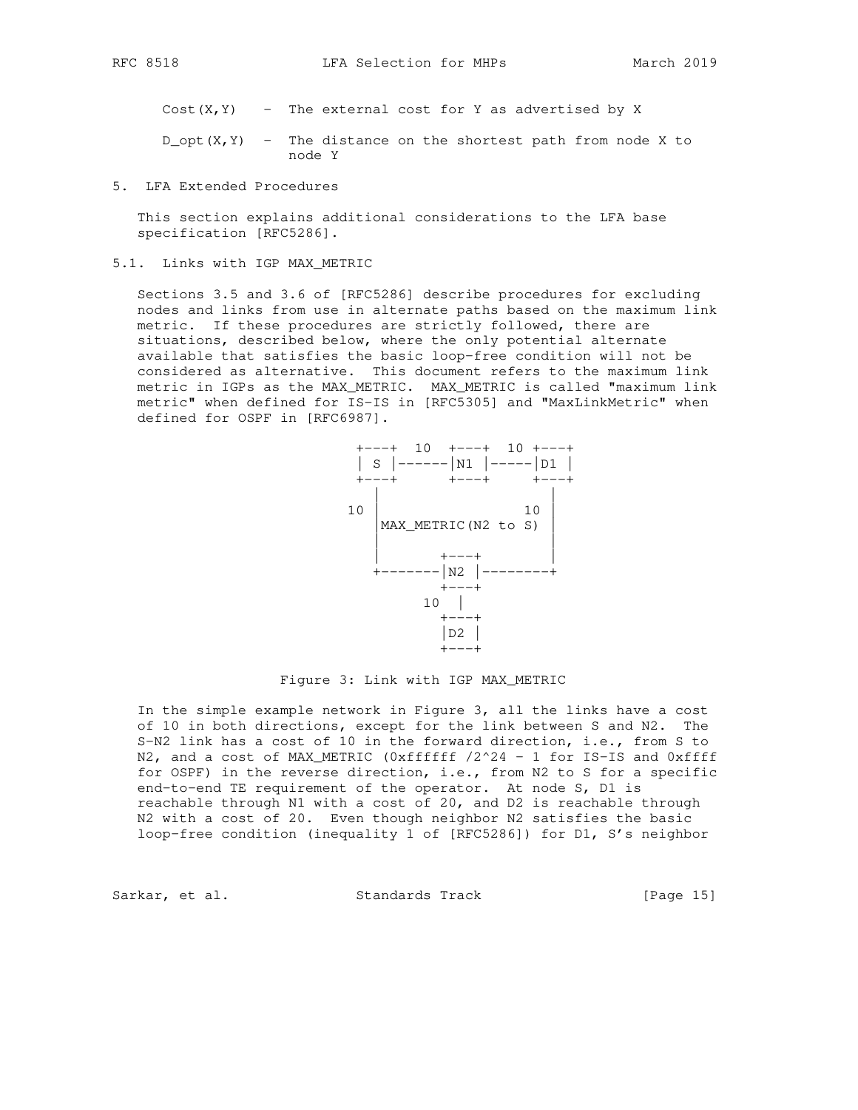$Cost(X, Y)$  - The external cost for Y as advertised by X

 $D_{\text{opt}}(X, Y)$  - The distance on the shortest path from node X to node Y

5. LFA Extended Procedures

 This section explains additional considerations to the LFA base specification [RFC5286].

5.1. Links with IGP MAX\_METRIC

 Sections 3.5 and 3.6 of [RFC5286] describe procedures for excluding nodes and links from use in alternate paths based on the maximum link metric. If these procedures are strictly followed, there are situations, described below, where the only potential alternate available that satisfies the basic loop-free condition will not be considered as alternative. This document refers to the maximum link metric in IGPs as the MAX\_METRIC. MAX\_METRIC is called "maximum link metric" when defined for IS-IS in [RFC5305] and "MaxLinkMetric" when defined for OSPF in [RFC6987].



Figure 3: Link with IGP MAX\_METRIC

 In the simple example network in Figure 3, all the links have a cost of 10 in both directions, except for the link between S and N2. The S-N2 link has a cost of 10 in the forward direction, i.e., from S to N2, and a cost of MAX\_METRIC (0xffffff /2^24 - 1 for IS-IS and 0xffff for OSPF) in the reverse direction, i.e., from N2 to S for a specific end-to-end TE requirement of the operator. At node S, D1 is reachable through N1 with a cost of 20, and D2 is reachable through N2 with a cost of 20. Even though neighbor N2 satisfies the basic loop-free condition (inequality 1 of [RFC5286]) for D1, S's neighbor

Sarkar, et al. Standards Track [Page 15]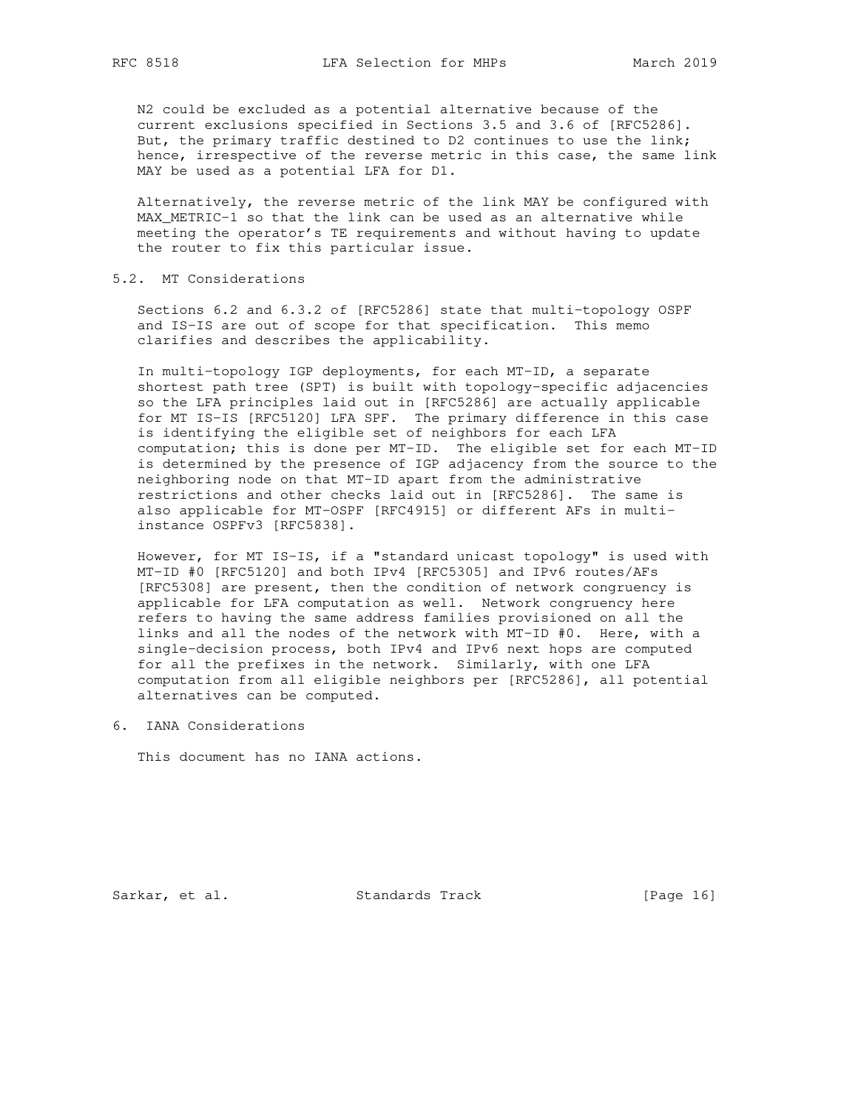N2 could be excluded as a potential alternative because of the current exclusions specified in Sections 3.5 and 3.6 of [RFC5286]. But, the primary traffic destined to D2 continues to use the link; hence, irrespective of the reverse metric in this case, the same link MAY be used as a potential LFA for D1.

 Alternatively, the reverse metric of the link MAY be configured with MAX\_METRIC-1 so that the link can be used as an alternative while meeting the operator's TE requirements and without having to update the router to fix this particular issue.

### 5.2. MT Considerations

 Sections 6.2 and 6.3.2 of [RFC5286] state that multi-topology OSPF and IS-IS are out of scope for that specification. This memo clarifies and describes the applicability.

 In multi-topology IGP deployments, for each MT-ID, a separate shortest path tree (SPT) is built with topology-specific adjacencies so the LFA principles laid out in [RFC5286] are actually applicable for MT IS-IS [RFC5120] LFA SPF. The primary difference in this case is identifying the eligible set of neighbors for each LFA computation; this is done per MT-ID. The eligible set for each MT-ID is determined by the presence of IGP adjacency from the source to the neighboring node on that MT-ID apart from the administrative restrictions and other checks laid out in [RFC5286]. The same is also applicable for MT-OSPF [RFC4915] or different AFs in multi instance OSPFv3 [RFC5838].

 However, for MT IS-IS, if a "standard unicast topology" is used with MT-ID #0 [RFC5120] and both IPv4 [RFC5305] and IPv6 routes/AFs [RFC5308] are present, then the condition of network congruency is applicable for LFA computation as well. Network congruency here refers to having the same address families provisioned on all the links and all the nodes of the network with MT-ID #0. Here, with a single-decision process, both IPv4 and IPv6 next hops are computed for all the prefixes in the network. Similarly, with one LFA computation from all eligible neighbors per [RFC5286], all potential alternatives can be computed.

6. IANA Considerations

This document has no IANA actions.

Sarkar, et al. Standards Track [Page 16]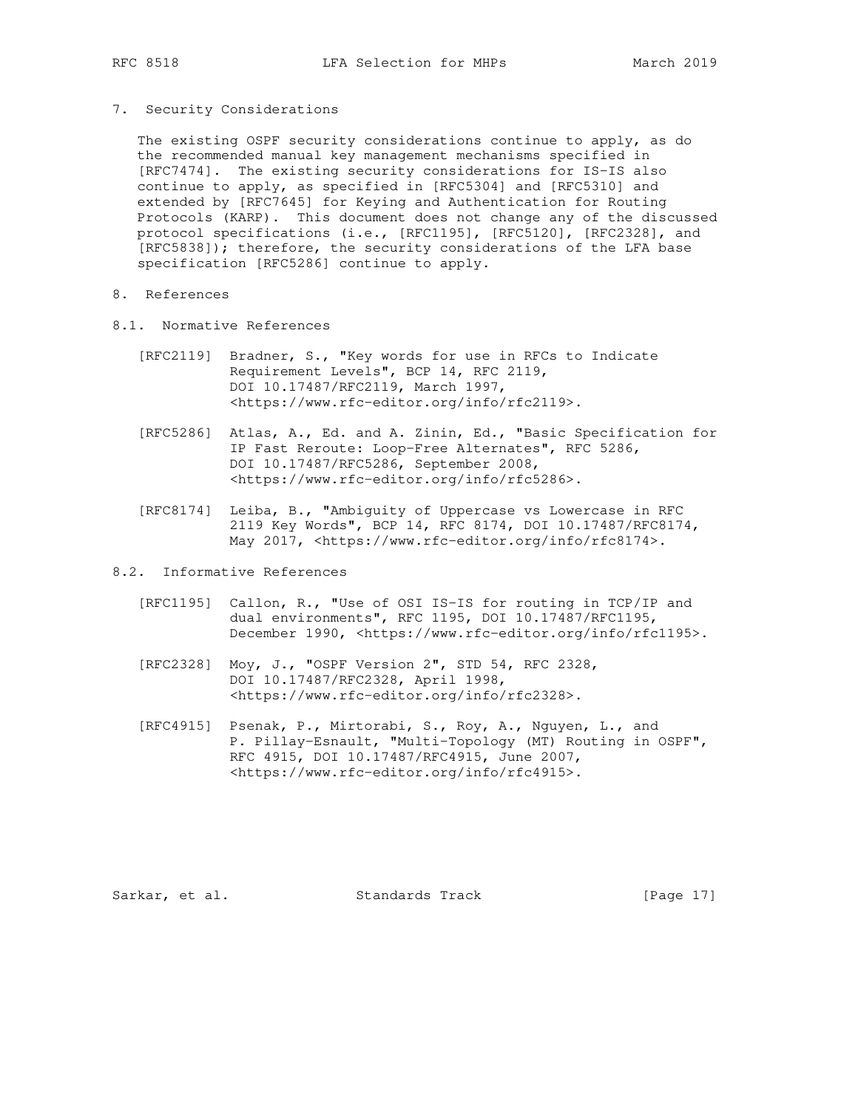7. Security Considerations

 The existing OSPF security considerations continue to apply, as do the recommended manual key management mechanisms specified in [RFC7474]. The existing security considerations for IS-IS also continue to apply, as specified in [RFC5304] and [RFC5310] and extended by [RFC7645] for Keying and Authentication for Routing Protocols (KARP). This document does not change any of the discussed protocol specifications (i.e., [RFC1195], [RFC5120], [RFC2328], and [RFC5838]); therefore, the security considerations of the LFA base specification [RFC5286] continue to apply.

- 8. References
- 8.1. Normative References
	- [RFC2119] Bradner, S., "Key words for use in RFCs to Indicate Requirement Levels", BCP 14, RFC 2119, DOI 10.17487/RFC2119, March 1997, <https://www.rfc-editor.org/info/rfc2119>.
	- [RFC5286] Atlas, A., Ed. and A. Zinin, Ed., "Basic Specification for IP Fast Reroute: Loop-Free Alternates", RFC 5286, DOI 10.17487/RFC5286, September 2008, <https://www.rfc-editor.org/info/rfc5286>.
	- [RFC8174] Leiba, B., "Ambiguity of Uppercase vs Lowercase in RFC 2119 Key Words", BCP 14, RFC 8174, DOI 10.17487/RFC8174, May 2017, <https://www.rfc-editor.org/info/rfc8174>.
- 8.2. Informative References
	- [RFC1195] Callon, R., "Use of OSI IS-IS for routing in TCP/IP and dual environments", RFC 1195, DOI 10.17487/RFC1195, December 1990, <https://www.rfc-editor.org/info/rfc1195>.
	- [RFC2328] Moy, J., "OSPF Version 2", STD 54, RFC 2328, DOI 10.17487/RFC2328, April 1998, <https://www.rfc-editor.org/info/rfc2328>.
	- [RFC4915] Psenak, P., Mirtorabi, S., Roy, A., Nguyen, L., and P. Pillay-Esnault, "Multi-Topology (MT) Routing in OSPF", RFC 4915, DOI 10.17487/RFC4915, June 2007, <https://www.rfc-editor.org/info/rfc4915>.

Sarkar, et al. Standards Track [Page 17]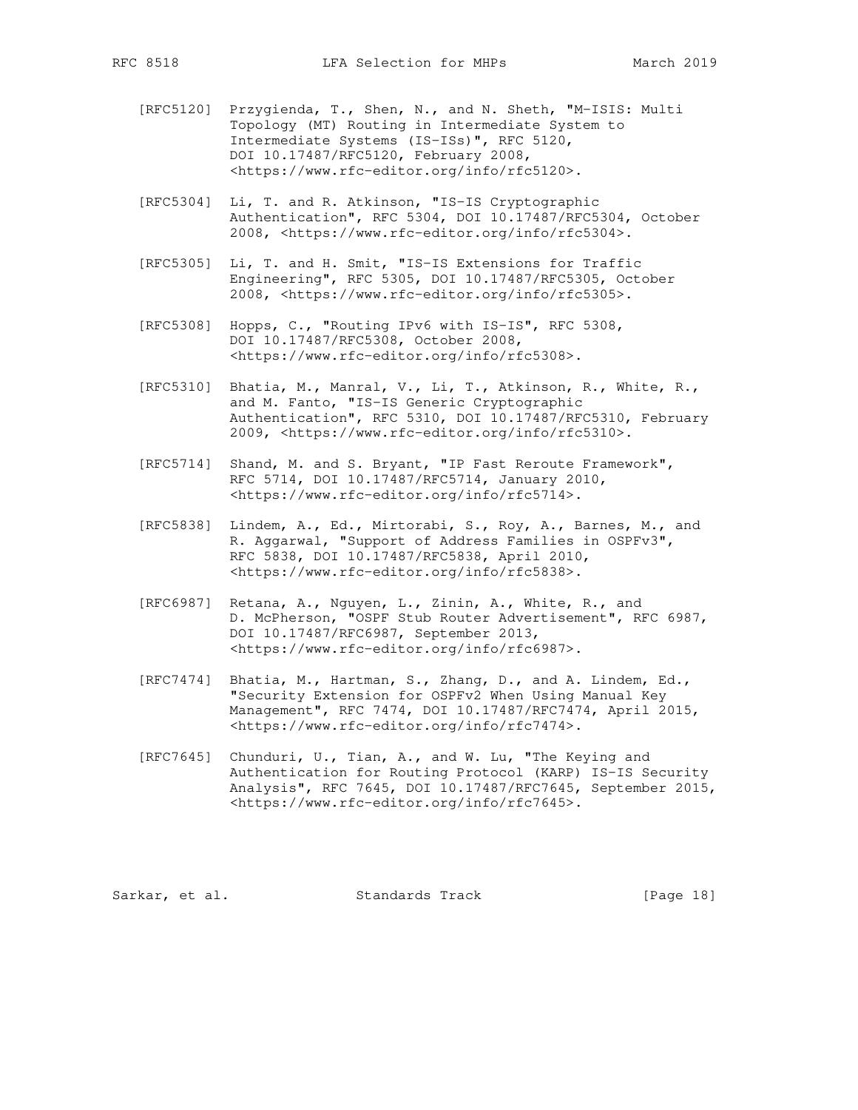- [RFC5120] Przygienda, T., Shen, N., and N. Sheth, "M-ISIS: Multi Topology (MT) Routing in Intermediate System to Intermediate Systems (IS-ISs)", RFC 5120, DOI 10.17487/RFC5120, February 2008, <https://www.rfc-editor.org/info/rfc5120>.
- [RFC5304] Li, T. and R. Atkinson, "IS-IS Cryptographic Authentication", RFC 5304, DOI 10.17487/RFC5304, October 2008, <https://www.rfc-editor.org/info/rfc5304>.
- [RFC5305] Li, T. and H. Smit, "IS-IS Extensions for Traffic Engineering", RFC 5305, DOI 10.17487/RFC5305, October 2008, <https://www.rfc-editor.org/info/rfc5305>.
- [RFC5308] Hopps, C., "Routing IPv6 with IS-IS", RFC 5308, DOI 10.17487/RFC5308, October 2008, <https://www.rfc-editor.org/info/rfc5308>.
- [RFC5310] Bhatia, M., Manral, V., Li, T., Atkinson, R., White, R., and M. Fanto, "IS-IS Generic Cryptographic Authentication", RFC 5310, DOI 10.17487/RFC5310, February 2009, <https://www.rfc-editor.org/info/rfc5310>.
- [RFC5714] Shand, M. and S. Bryant, "IP Fast Reroute Framework", RFC 5714, DOI 10.17487/RFC5714, January 2010, <https://www.rfc-editor.org/info/rfc5714>.
- [RFC5838] Lindem, A., Ed., Mirtorabi, S., Roy, A., Barnes, M., and R. Aggarwal, "Support of Address Families in OSPFv3", RFC 5838, DOI 10.17487/RFC5838, April 2010, <https://www.rfc-editor.org/info/rfc5838>.
- [RFC6987] Retana, A., Nguyen, L., Zinin, A., White, R., and D. McPherson, "OSPF Stub Router Advertisement", RFC 6987, DOI 10.17487/RFC6987, September 2013, <https://www.rfc-editor.org/info/rfc6987>.
- [RFC7474] Bhatia, M., Hartman, S., Zhang, D., and A. Lindem, Ed., "Security Extension for OSPFv2 When Using Manual Key Management", RFC 7474, DOI 10.17487/RFC7474, April 2015, <https://www.rfc-editor.org/info/rfc7474>.
- [RFC7645] Chunduri, U., Tian, A., and W. Lu, "The Keying and Authentication for Routing Protocol (KARP) IS-IS Security Analysis", RFC 7645, DOI 10.17487/RFC7645, September 2015, <https://www.rfc-editor.org/info/rfc7645>.

Sarkar, et al. Standards Track [Page 18]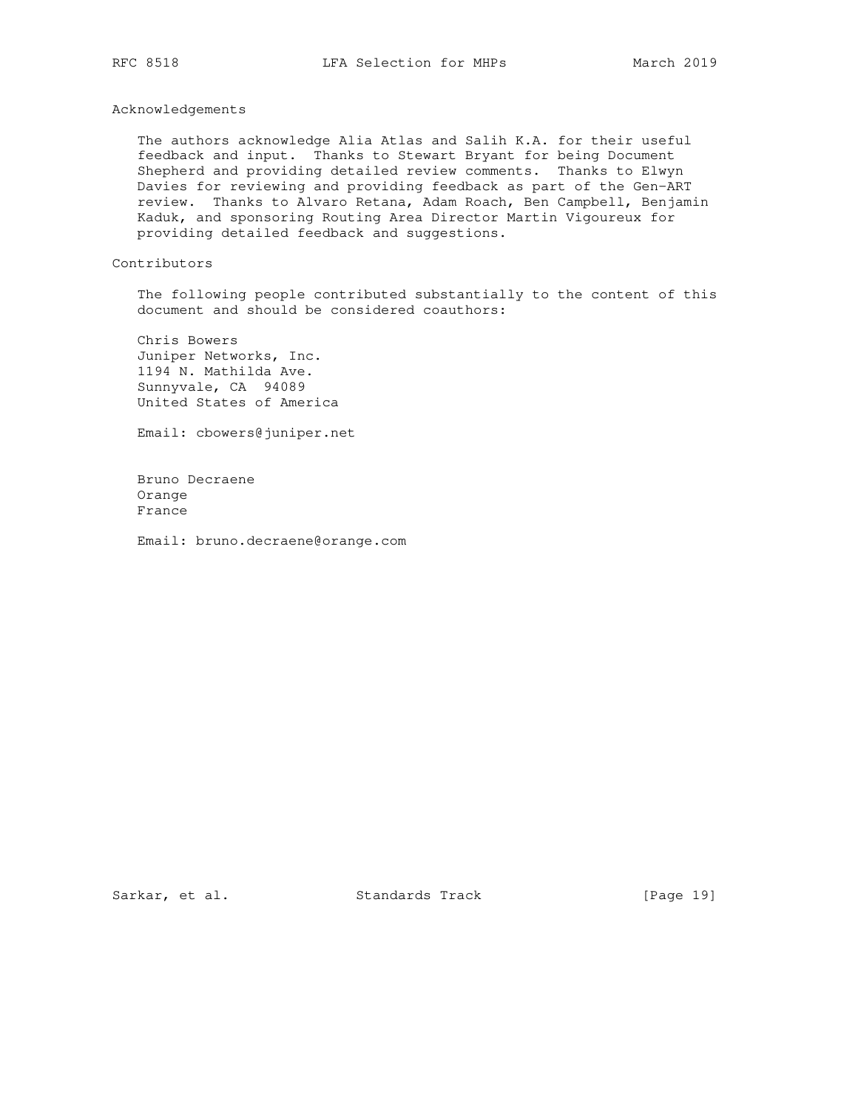## Acknowledgements

 The authors acknowledge Alia Atlas and Salih K.A. for their useful feedback and input. Thanks to Stewart Bryant for being Document Shepherd and providing detailed review comments. Thanks to Elwyn Davies for reviewing and providing feedback as part of the Gen-ART review. Thanks to Alvaro Retana, Adam Roach, Ben Campbell, Benjamin Kaduk, and sponsoring Routing Area Director Martin Vigoureux for providing detailed feedback and suggestions.

# Contributors

 The following people contributed substantially to the content of this document and should be considered coauthors:

 Chris Bowers Juniper Networks, Inc. 1194 N. Mathilda Ave. Sunnyvale, CA 94089 United States of America

Email: cbowers@juniper.net

 Bruno Decraene Orange France

Email: bruno.decraene@orange.com

Sarkar, et al. Standards Track [Page 19]